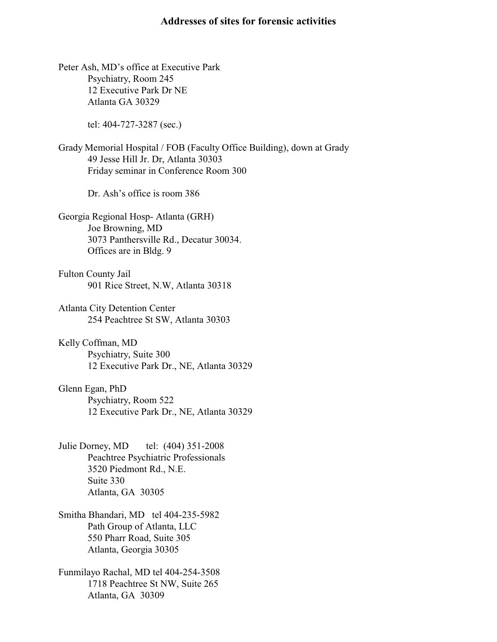## **Addresses of sites for forensic activities**

Peter Ash, MD's office at Executive Park Psychiatry, Room 245 12 Executive Park Dr NE Atlanta GA 30329

tel: 404-727-3287 (sec.)

Grady Memorial Hospital / FOB (Faculty Office Building), down at Grady 49 Jesse Hill Jr. Dr, Atlanta 30303 Friday seminar in Conference Room 300

Dr. Ash's office is room 386

Georgia Regional Hosp- Atlanta (GRH) Joe Browning, MD 3073 Panthersville Rd., Decatur 30034. Offices are in Bldg. 9

Fulton County Jail 901 Rice Street, N.W, Atlanta 30318

Atlanta City Detention Center 254 Peachtree St SW, Atlanta 30303

Kelly Coffman, MD Psychiatry, Suite 300 12 Executive Park Dr., NE, Atlanta 30329

Glenn Egan, PhD Psychiatry, Room 522 12 Executive Park Dr., NE, Atlanta 30329

- Julie Dorney, MD tel: (404) 351-2008 Peachtree Psychiatric Professionals 3520 Piedmont Rd., N.E. Suite 330 Atlanta, GA 30305
- Smitha Bhandari, MD tel 404-235-5982 Path Group of Atlanta, LLC 550 Pharr Road, Suite 305 Atlanta, Georgia 30305
- Funmilayo Rachal, MD tel 404-254-3508 1718 Peachtree St NW, Suite 265 Atlanta, GA 30309